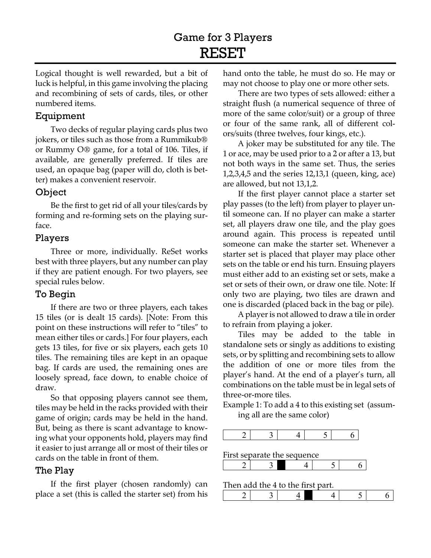# Game for 3 Players **RESET**

Logical thought is well rewarded, but a bit of luck is helpful, in this game involving the placing and recombining of sets of cards, tiles, or other numbered items.

# Equipment

Two decks of regular playing cards plus two jokers, or tiles such as those from a Rummikub® or Rummy O® game, for a total of 106. Tiles, if available, are generally preferred. If tiles are used, an opaque bag (paper will do, cloth is better) makes a convenient reservoir.

# Object

Be the first to get rid of all your tiles/cards by forming and re-forming sets on the playing surface.

#### Players

Three or more, individually. ReSet works best with three players, but any number can play if they are patient enough. For two players, see special rules below.

# To Begin

If there are two or three players, each takes 15 tiles (or is dealt 15 cards). [Note: From this point on these instructions will refer to "tiles" to mean either tiles or cards.] For four players, each gets 13 tiles, for five or six players, each gets 10 tiles. The remaining tiles are kept in an opaque bag. If cards are used, the remaining ones are loosely spread, face down, to enable choice of draw.

So that opposing players cannot see them, tiles may be held in the racks provided with their game of origin; cards may be held in the hand. But, being as there is scant advantage to knowing what your opponents hold, players may find it easier to just arrange all or most of their tiles or cards on the table in front of them.

#### The Play

If the first player (chosen randomly) can place a set (this is called the starter set) from his hand onto the table, he must do so. He may or may not choose to play one or more other sets.

There are two types of sets allowed: either a straight flush (a numerical sequence of three of more of the same color/suit) or a group of three or four of the same rank, all of different colors/suits (three twelves, four kings, etc.).

A joker may be substituted for any tile. The 1 or ace, may be used prior to a 2 or after a 13, but not both ways in the same set. Thus, the series 1,2,3,4,5 and the series 12,13,1 (queen, king, ace) are allowed, but not 13,1,2.

If the first player cannot place a starter set play passes (to the left) from player to player until someone can. If no player can make a starter set, all players draw one tile, and the play goes around again. This process is repeated until someone can make the starter set. Whenever a starter set is placed that player may place other sets on the table or end his turn. Ensuing players must either add to an existing set or sets, make a set or sets of their own, or draw one tile. Note: If only two are playing, two tiles are drawn and one is discarded (placed back in the bag or pile).

A player is not allowed to draw a tile in order to refrain from playing a joker.

Tiles may be added to the table in standalone sets or singly as additions to existing sets, or by splitting and recombining sets to allow the addition of one or more tiles from the player's hand. At the end of a player's turn, all combinations on the table must be in legal sets of three-or-more tiles.

Example 1: To add a 4 to this existing set (assuming all are the same color)

First separate the sequence

Then add the 4 to the first part.